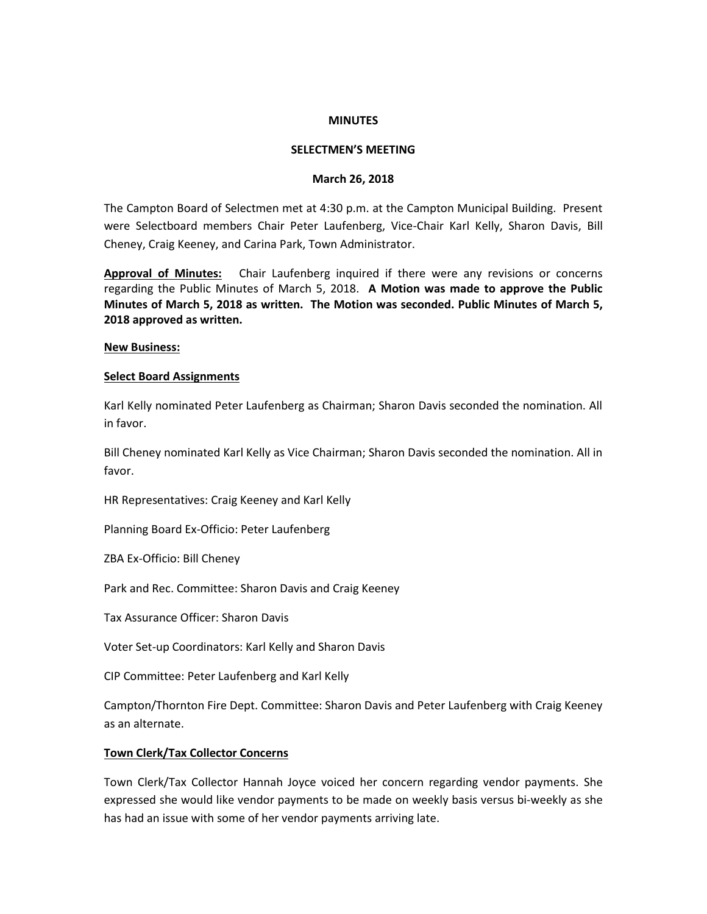## **MINUTES**

## **SELECTMEN'S MEETING**

#### **March 26, 2018**

The Campton Board of Selectmen met at 4:30 p.m. at the Campton Municipal Building. Present were Selectboard members Chair Peter Laufenberg, Vice-Chair Karl Kelly, Sharon Davis, Bill Cheney, Craig Keeney, and Carina Park, Town Administrator.

**Approval of Minutes:** Chair Laufenberg inquired if there were any revisions or concerns regarding the Public Minutes of March 5, 2018. **A Motion was made to approve the Public Minutes of March 5, 2018 as written. The Motion was seconded. Public Minutes of March 5, 2018 approved as written.**

#### **New Business:**

#### **Select Board Assignments**

Karl Kelly nominated Peter Laufenberg as Chairman; Sharon Davis seconded the nomination. All in favor.

Bill Cheney nominated Karl Kelly as Vice Chairman; Sharon Davis seconded the nomination. All in favor.

HR Representatives: Craig Keeney and Karl Kelly

Planning Board Ex-Officio: Peter Laufenberg

ZBA Ex-Officio: Bill Cheney

Park and Rec. Committee: Sharon Davis and Craig Keeney

Tax Assurance Officer: Sharon Davis

Voter Set-up Coordinators: Karl Kelly and Sharon Davis

CIP Committee: Peter Laufenberg and Karl Kelly

Campton/Thornton Fire Dept. Committee: Sharon Davis and Peter Laufenberg with Craig Keeney as an alternate.

# **Town Clerk/Tax Collector Concerns**

Town Clerk/Tax Collector Hannah Joyce voiced her concern regarding vendor payments. She expressed she would like vendor payments to be made on weekly basis versus bi-weekly as she has had an issue with some of her vendor payments arriving late.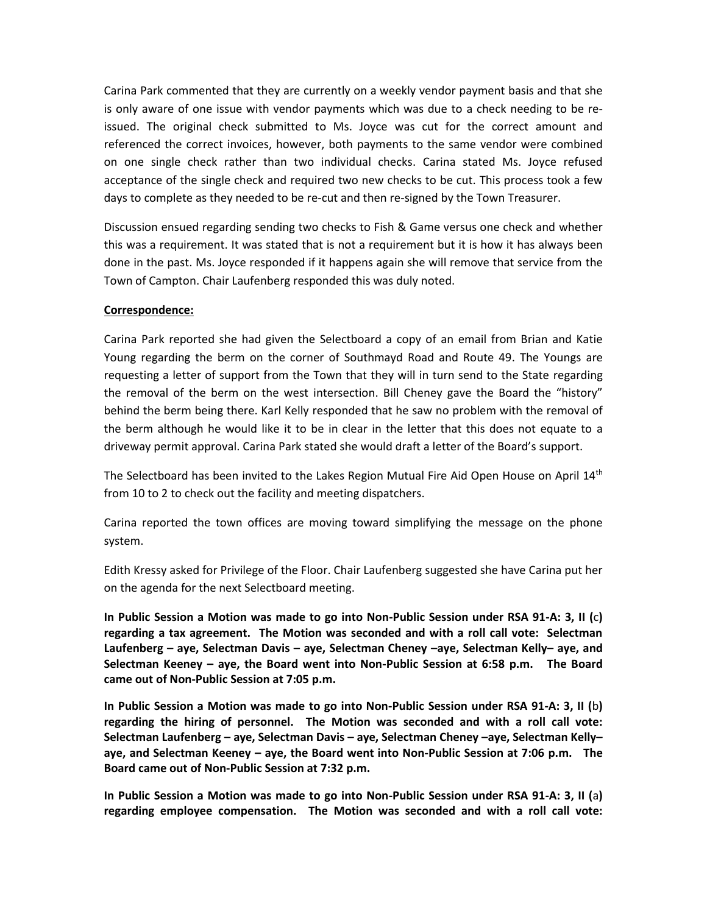Carina Park commented that they are currently on a weekly vendor payment basis and that she is only aware of one issue with vendor payments which was due to a check needing to be reissued. The original check submitted to Ms. Joyce was cut for the correct amount and referenced the correct invoices, however, both payments to the same vendor were combined on one single check rather than two individual checks. Carina stated Ms. Joyce refused acceptance of the single check and required two new checks to be cut. This process took a few days to complete as they needed to be re-cut and then re-signed by the Town Treasurer.

Discussion ensued regarding sending two checks to Fish & Game versus one check and whether this was a requirement. It was stated that is not a requirement but it is how it has always been done in the past. Ms. Joyce responded if it happens again she will remove that service from the Town of Campton. Chair Laufenberg responded this was duly noted.

# **Correspondence:**

Carina Park reported she had given the Selectboard a copy of an email from Brian and Katie Young regarding the berm on the corner of Southmayd Road and Route 49. The Youngs are requesting a letter of support from the Town that they will in turn send to the State regarding the removal of the berm on the west intersection. Bill Cheney gave the Board the "history" behind the berm being there. Karl Kelly responded that he saw no problem with the removal of the berm although he would like it to be in clear in the letter that this does not equate to a driveway permit approval. Carina Park stated she would draft a letter of the Board's support.

The Selectboard has been invited to the Lakes Region Mutual Fire Aid Open House on April 14<sup>th</sup> from 10 to 2 to check out the facility and meeting dispatchers.

Carina reported the town offices are moving toward simplifying the message on the phone system.

Edith Kressy asked for Privilege of the Floor. Chair Laufenberg suggested she have Carina put her on the agenda for the next Selectboard meeting.

**In Public Session a Motion was made to go into Non-Public Session under RSA 91-A: 3, II (**c**) regarding a tax agreement. The Motion was seconded and with a roll call vote: Selectman Laufenberg – aye, Selectman Davis – aye, Selectman Cheney –aye, Selectman Kelly– aye, and Selectman Keeney – aye, the Board went into Non-Public Session at 6:58 p.m. The Board came out of Non-Public Session at 7:05 p.m.**

**In Public Session a Motion was made to go into Non-Public Session under RSA 91-A: 3, II (**b**) regarding the hiring of personnel. The Motion was seconded and with a roll call vote: Selectman Laufenberg – aye, Selectman Davis – aye, Selectman Cheney –aye, Selectman Kelly– aye, and Selectman Keeney – aye, the Board went into Non-Public Session at 7:06 p.m. The Board came out of Non-Public Session at 7:32 p.m.**

**In Public Session a Motion was made to go into Non-Public Session under RSA 91-A: 3, II (**a**) regarding employee compensation. The Motion was seconded and with a roll call vote:**